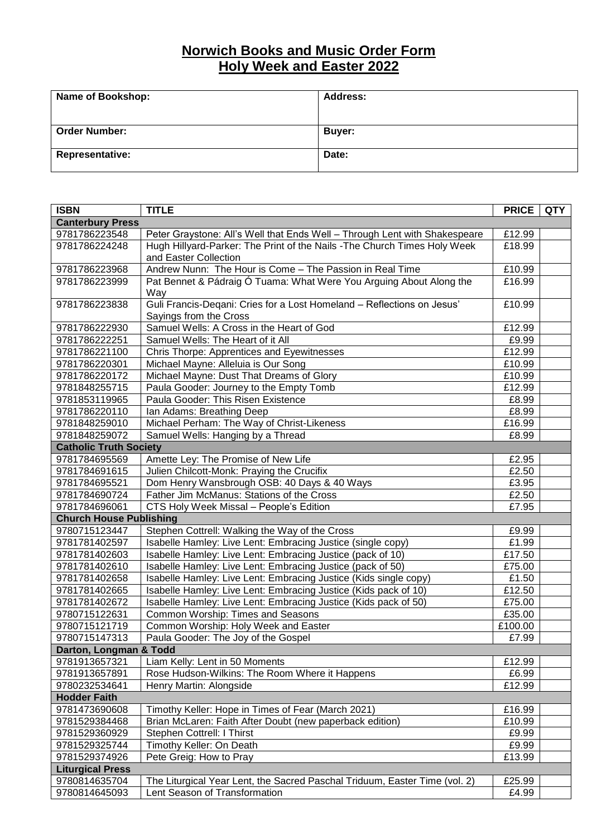## **Norwich Books and Music Order Form Holy Week and Easter 2022**

| Name of Bookshop:      | <b>Address:</b> |
|------------------------|-----------------|
| <b>Order Number:</b>   | <b>Buyer:</b>   |
| <b>Representative:</b> | Date:           |

| <b>ISBN</b>                    | <b>TITLE</b>                                                               | <b>PRICE</b> | <b>QTY</b> |  |  |
|--------------------------------|----------------------------------------------------------------------------|--------------|------------|--|--|
| <b>Canterbury Press</b>        |                                                                            |              |            |  |  |
| 9781786223548                  | Peter Graystone: All's Well that Ends Well - Through Lent with Shakespeare | £12.99       |            |  |  |
| 9781786224248                  | Hugh Hillyard-Parker: The Print of the Nails - The Church Times Holy Week  | £18.99       |            |  |  |
|                                | and Easter Collection                                                      |              |            |  |  |
| 9781786223968                  | Andrew Nunn: The Hour is Come - The Passion in Real Time                   | £10.99       |            |  |  |
| 9781786223999                  | Pat Bennet & Pádraig Ó Tuama: What Were You Arguing About Along the        | £16.99       |            |  |  |
|                                | Way                                                                        |              |            |  |  |
| 9781786223838                  | Guli Francis-Deqani: Cries for a Lost Homeland - Reflections on Jesus'     | £10.99       |            |  |  |
|                                | Sayings from the Cross                                                     |              |            |  |  |
| 9781786222930                  | Samuel Wells: A Cross in the Heart of God                                  | £12.99       |            |  |  |
| 9781786222251                  | Samuel Wells: The Heart of it All                                          | £9.99        |            |  |  |
| 9781786221100                  | Chris Thorpe: Apprentices and Eyewitnesses                                 | £12.99       |            |  |  |
| 9781786220301                  | Michael Mayne: Alleluia is Our Song                                        | £10.99       |            |  |  |
| 9781786220172                  | Michael Mayne: Dust That Dreams of Glory                                   | £10.99       |            |  |  |
| 9781848255715                  | Paula Gooder: Journey to the Empty Tomb                                    | £12.99       |            |  |  |
| 9781853119965                  | Paula Gooder: This Risen Existence                                         | £8.99        |            |  |  |
| 9781786220110                  | Ian Adams: Breathing Deep                                                  | £8.99        |            |  |  |
| 9781848259010                  | Michael Perham: The Way of Christ-Likeness                                 | £16.99       |            |  |  |
| 9781848259072                  | Samuel Wells: Hanging by a Thread                                          | £8.99        |            |  |  |
| <b>Catholic Truth Society</b>  |                                                                            |              |            |  |  |
| 9781784695569                  | Amette Ley: The Promise of New Life                                        | £2.95        |            |  |  |
| 9781784691615                  | Julien Chilcott-Monk: Praying the Crucifix                                 | £2.50        |            |  |  |
| 9781784695521                  | Dom Henry Wansbrough OSB: 40 Days & 40 Ways                                | £3.95        |            |  |  |
| 9781784690724                  | Father Jim McManus: Stations of the Cross                                  | £2.50        |            |  |  |
| 9781784696061                  | CTS Holy Week Missal - People's Edition                                    | £7.95        |            |  |  |
| <b>Church House Publishing</b> |                                                                            |              |            |  |  |
| 9780715123447                  | Stephen Cottrell: Walking the Way of the Cross                             | £9.99        |            |  |  |
| 9781781402597                  | Isabelle Hamley: Live Lent: Embracing Justice (single copy)                | £1.99        |            |  |  |
| 9781781402603                  | Isabelle Hamley: Live Lent: Embracing Justice (pack of 10)                 | £17.50       |            |  |  |
| 9781781402610                  | Isabelle Hamley: Live Lent: Embracing Justice (pack of 50)                 | £75.00       |            |  |  |
| 9781781402658                  | Isabelle Hamley: Live Lent: Embracing Justice (Kids single copy)           | £1.50        |            |  |  |
| 9781781402665                  | Isabelle Hamley: Live Lent: Embracing Justice (Kids pack of 10)            | £12.50       |            |  |  |
| 9781781402672                  | Isabelle Hamley: Live Lent: Embracing Justice (Kids pack of 50)            | £75.00       |            |  |  |
| 9780715122631                  | Common Worship: Times and Seasons                                          | £35.00       |            |  |  |
| 9780715121719                  | Common Worship: Holy Week and Easter                                       | £100.00      |            |  |  |
| 9780715147313                  | Paula Gooder: The Joy of the Gospel                                        | £7.99        |            |  |  |
| Darton, Longman & Todd         |                                                                            |              |            |  |  |
| 9781913657321                  | Liam Kelly: Lent in 50 Moments                                             | £12.99       |            |  |  |
| 9781913657891                  | Rose Hudson-Wilkins: The Room Where it Happens                             | £6.99        |            |  |  |
| 9780232534641                  | Henry Martin: Alongside                                                    | £12.99       |            |  |  |
| <b>Hodder Faith</b>            |                                                                            |              |            |  |  |
| 9781473690608                  | Timothy Keller: Hope in Times of Fear (March 2021)                         | £16.99       |            |  |  |
| 9781529384468                  | Brian McLaren: Faith After Doubt (new paperback edition)                   | £10.99       |            |  |  |
| 9781529360929                  | Stephen Cottrell: I Thirst                                                 | £9.99        |            |  |  |
| 9781529325744                  | Timothy Keller: On Death                                                   | £9.99        |            |  |  |
| 9781529374926                  | Pete Greig: How to Pray                                                    | £13.99       |            |  |  |
| <b>Liturgical Press</b>        |                                                                            |              |            |  |  |
| 9780814635704                  | The Liturgical Year Lent, the Sacred Paschal Triduum, Easter Time (vol. 2) | £25.99       |            |  |  |
| 9780814645093                  | Lent Season of Transformation                                              | £4.99        |            |  |  |